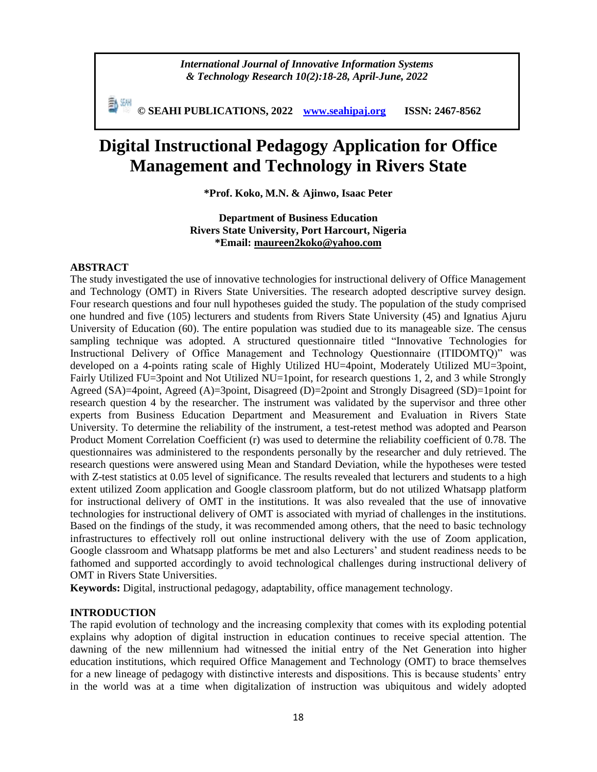*International Journal of Innovative Information Systems & Technology Research 10(2):18-28, April-June, 2022*

**© SEAHI PUBLICATIONS, 2022 [www.seahipaj.org](http://www.seahipaj.org/) ISSN: 2467-8562**

# **Digital Instructional Pedagogy Application for Office Management and Technology in Rivers State**

**\*Prof. Koko, M.N. & Ajinwo, Isaac Peter**

# **Department of Business Education Rivers State University, Port Harcourt, Nigeria \*Email: [maureen2koko@yahoo.com](mailto:maureen2koko@yahoo.com)**

# **ABSTRACT**

The study investigated the use of innovative technologies for instructional delivery of Office Management and Technology (OMT) in Rivers State Universities. The research adopted descriptive survey design. Four research questions and four null hypotheses guided the study. The population of the study comprised one hundred and five (105) lecturers and students from Rivers State University (45) and Ignatius Ajuru University of Education (60). The entire population was studied due to its manageable size. The census sampling technique was adopted. A structured questionnaire titled "Innovative Technologies for Instructional Delivery of Office Management and Technology Questionnaire (ITIDOMTQ)" was developed on a 4-points rating scale of Highly Utilized HU=4point, Moderately Utilized MU=3point, Fairly Utilized FU=3point and Not Utilized NU=1point, for research questions 1, 2, and 3 while Strongly Agreed (SA)=4point, Agreed (A)=3point, Disagreed (D)=2point and Strongly Disagreed (SD)=1point for research question 4 by the researcher. The instrument was validated by the supervisor and three other experts from Business Education Department and Measurement and Evaluation in Rivers State University. To determine the reliability of the instrument, a test-retest method was adopted and Pearson Product Moment Correlation Coefficient (r) was used to determine the reliability coefficient of 0.78. The questionnaires was administered to the respondents personally by the researcher and duly retrieved. The research questions were answered using Mean and Standard Deviation, while the hypotheses were tested with Z-test statistics at 0.05 level of significance. The results revealed that lecturers and students to a high extent utilized Zoom application and Google classroom platform, but do not utilized Whatsapp platform for instructional delivery of OMT in the institutions. It was also revealed that the use of innovative technologies for instructional delivery of OMT is associated with myriad of challenges in the institutions. Based on the findings of the study, it was recommended among others, that the need to basic technology infrastructures to effectively roll out online instructional delivery with the use of Zoom application, Google classroom and Whatsapp platforms be met and also Lecturers' and student readiness needs to be fathomed and supported accordingly to avoid technological challenges during instructional delivery of OMT in Rivers State Universities.

**Keywords:** Digital, instructional pedagogy, adaptability, office management technology.

#### **INTRODUCTION**

The rapid evolution of technology and the increasing complexity that comes with its exploding potential explains why adoption of digital instruction in education continues to receive special attention. The dawning of the new millennium had witnessed the initial entry of the Net Generation into higher education institutions, which required Office Management and Technology (OMT) to brace themselves for a new lineage of pedagogy with distinctive interests and dispositions. This is because students' entry in the world was at a time when digitalization of instruction was ubiquitous and widely adopted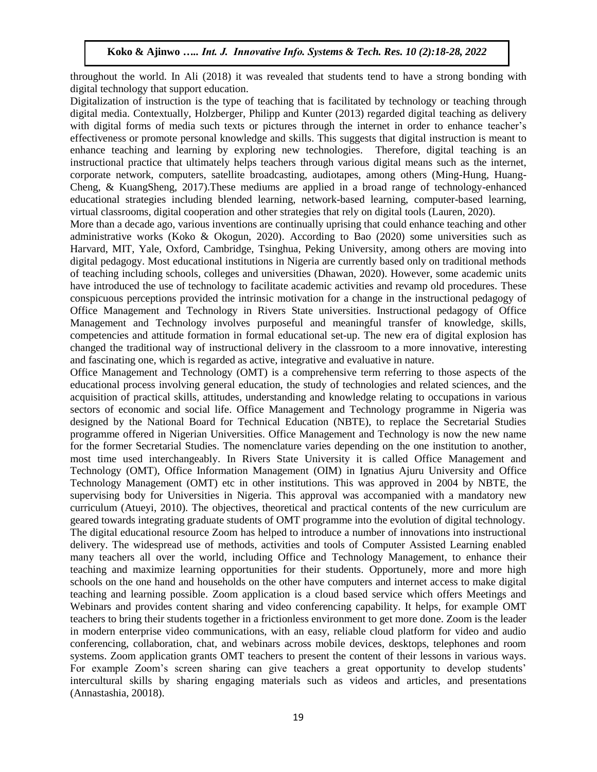throughout the world. In Ali (2018) it was revealed that students tend to have a strong bonding with digital technology that support education.

Digitalization of instruction is the type of teaching that is facilitated by technology or teaching through digital media. Contextually, Holzberger, Philipp and Kunter (2013) regarded digital teaching as delivery with digital forms of media such texts or pictures through the internet in order to enhance teacher's effectiveness or promote personal knowledge and skills. This suggests that digital instruction is meant to enhance teaching and learning by exploring new technologies. Therefore, digital teaching is an instructional practice that ultimately helps teachers through various digital means such as the internet, corporate network, computers, satellite broadcasting, audiotapes, among others (Ming-Hung, Huang-Cheng, & KuangSheng, 2017).These mediums are applied in a broad range of technology-enhanced educational strategies including blended learning, network-based learning, computer-based learning, virtual classrooms, digital cooperation and other strategies that rely on digital tools (Lauren, 2020).

More than a decade ago, various inventions are continually uprising that could enhance teaching and other administrative works (Koko & Okogun, 2020). According to Bao (2020) some universities such as Harvard, MIT, Yale, Oxford, Cambridge, Tsinghua, Peking University, among others are moving into digital pedagogy. Most educational institutions in Nigeria are currently based only on traditional methods of teaching including schools, colleges and universities (Dhawan, 2020). However, some academic units have introduced the use of technology to facilitate academic activities and revamp old procedures. These conspicuous perceptions provided the intrinsic motivation for a change in the instructional pedagogy of Office Management and Technology in Rivers State universities. Instructional pedagogy of Office Management and Technology involves purposeful and meaningful transfer of knowledge, skills, competencies and attitude formation in formal educational set-up. The new era of digital explosion has changed the traditional way of instructional delivery in the classroom to a more innovative, interesting and fascinating one, which is regarded as active, integrative and evaluative in nature.

Office Management and Technology (OMT) is a comprehensive term referring to those aspects of the educational process involving general education, the study of technologies and related sciences, and the acquisition of practical skills, attitudes, understanding and knowledge relating to occupations in various sectors of economic and social life. Office Management and Technology programme in Nigeria was designed by the National Board for Technical Education (NBTE), to replace the Secretarial Studies programme offered in Nigerian Universities. Office Management and Technology is now the new name for the former Secretarial Studies. The nomenclature varies depending on the one institution to another, most time used interchangeably. In Rivers State University it is called Office Management and Technology (OMT), Office Information Management (OIM) in Ignatius Ajuru University and Office Technology Management (OMT) etc in other institutions. This was approved in 2004 by NBTE, the supervising body for Universities in Nigeria. This approval was accompanied with a mandatory new curriculum (Atueyi, 2010). The objectives, theoretical and practical contents of the new curriculum are geared towards integrating graduate students of OMT programme into the evolution of digital technology. The digital educational resource Zoom has helped to introduce a number of innovations into instructional delivery. The widespread use of methods, activities and tools of Computer Assisted Learning enabled many teachers all over the world, including Office and Technology Management, to enhance their teaching and maximize learning opportunities for their students. Opportunely, more and more high schools on the one hand and households on the other have computers and internet access to make digital teaching and learning possible. Zoom application is a cloud based service which offers Meetings and Webinars and provides content sharing and video conferencing capability. It helps, for example OMT teachers to bring their students together in a frictionless environment to get more done. Zoom is the leader in modern enterprise video communications, with an easy, reliable cloud platform for video and audio conferencing, collaboration, chat, and webinars across mobile devices, desktops, telephones and room systems. Zoom application grants OMT teachers to present the content of their lessons in various ways. For example Zoom's screen sharing can give teachers a great opportunity to develop students' intercultural skills by sharing engaging materials such as videos and articles, and presentations (Annastashia, 20018).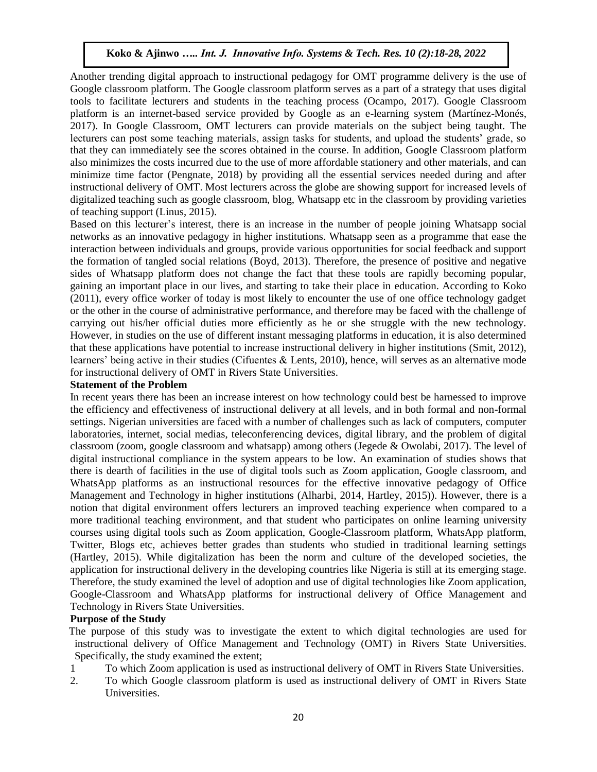Another trending digital approach to instructional pedagogy for OMT programme delivery is the use of Google classroom platform. The Google classroom platform serves as a part of a strategy that uses digital tools to facilitate lecturers and students in the teaching process (Ocampo, 2017). Google Classroom platform is an internet-based service provided by Google as an e-learning system (Martínez-Monés, 2017). In Google Classroom, OMT lecturers can provide materials on the subject being taught. The lecturers can post some teaching materials, assign tasks for students, and upload the students' grade, so that they can immediately see the scores obtained in the course. In addition, Google Classroom platform also minimizes the costs incurred due to the use of more affordable stationery and other materials, and can minimize time factor (Pengnate, 2018) by providing all the essential services needed during and after instructional delivery of OMT. Most lecturers across the globe are showing support for increased levels of digitalized teaching such as google classroom, blog, Whatsapp etc in the classroom by providing varieties of teaching support (Linus, 2015).

Based on this lecturer's interest, there is an increase in the number of people joining Whatsapp social networks as an innovative pedagogy in higher institutions. Whatsapp seen as a programme that ease the interaction between individuals and groups, provide various opportunities for social feedback and support the formation of tangled social relations (Boyd, 2013). Therefore, the presence of positive and negative sides of Whatsapp platform does not change the fact that these tools are rapidly becoming popular, gaining an important place in our lives, and starting to take their place in education. According to Koko (2011), every office worker of today is most likely to encounter the use of one office technology gadget or the other in the course of administrative performance, and therefore may be faced with the challenge of carrying out his/her official duties more efficiently as he or she struggle with the new technology. However, in studies on the use of different instant messaging platforms in education, it is also determined that these applications have potential to increase instructional delivery in higher institutions (Smit, 2012), learners' being active in their studies (Cifuentes & Lents, 2010), hence, will serves as an alternative mode for instructional delivery of OMT in Rivers State Universities.

#### **Statement of the Problem**

In recent years there has been an increase interest on how technology could best be harnessed to improve the efficiency and effectiveness of instructional delivery at all levels, and in both formal and non-formal settings. Nigerian universities are faced with a number of challenges such as lack of computers, computer laboratories, internet, social medias, teleconferencing devices, digital library, and the problem of digital classroom (zoom, google classroom and whatsapp) among others (Jegede & Owolabi, 2017). The level of digital instructional compliance in the system appears to be low. An examination of studies shows that there is dearth of facilities in the use of digital tools such as Zoom application, Google classroom, and WhatsApp platforms as an instructional resources for the effective innovative pedagogy of Office Management and Technology in higher institutions (Alharbi, 2014, Hartley, 2015)). However, there is a notion that digital environment offers lecturers an improved teaching experience when compared to a more traditional teaching environment, and that student who participates on online learning university courses using digital tools such as Zoom application, Google-Classroom platform, WhatsApp platform, Twitter, Blogs etc, achieves better grades than students who studied in traditional learning settings (Hartley, 2015). While digitalization has been the norm and culture of the developed societies, the application for instructional delivery in the developing countries like Nigeria is still at its emerging stage. Therefore, the study examined the level of adoption and use of digital technologies like Zoom application, Google-Classroom and WhatsApp platforms for instructional delivery of Office Management and Technology in Rivers State Universities.

#### **Purpose of the Study**

 The purpose of this study was to investigate the extent to which digital technologies are used for instructional delivery of Office Management and Technology (OMT) in Rivers State Universities. Specifically, the study examined the extent;

- 1 To which Zoom application is used as instructional delivery of OMT in Rivers State Universities.
- 2. To which Google classroom platform is used as instructional delivery of OMT in Rivers State Universities.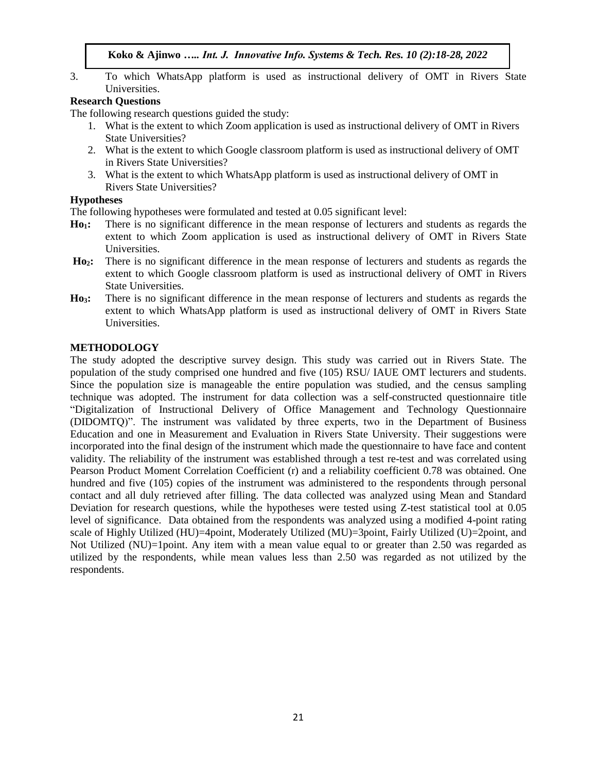3. To which WhatsApp platform is used as instructional delivery of OMT in Rivers State Universities.

# **Research Questions**

The following research questions guided the study:

- 1. What is the extent to which Zoom application is used as instructional delivery of OMT in Rivers State Universities?
- 2. What is the extent to which Google classroom platform is used as instructional delivery of OMT in Rivers State Universities?
- 3. What is the extent to which WhatsApp platform is used as instructional delivery of OMT in Rivers State Universities?

# **Hypotheses**

The following hypotheses were formulated and tested at 0.05 significant level:

- **Ho1:** There is no significant difference in the mean response of lecturers and students as regards the extent to which Zoom application is used as instructional delivery of OMT in Rivers State Universities.
- **Ho2:** There is no significant difference in the mean response of lecturers and students as regards the extent to which Google classroom platform is used as instructional delivery of OMT in Rivers State Universities.
- **Ho3:** There is no significant difference in the mean response of lecturers and students as regards the extent to which WhatsApp platform is used as instructional delivery of OMT in Rivers State Universities.

# **METHODOLOGY**

The study adopted the descriptive survey design. This study was carried out in Rivers State. The population of the study comprised one hundred and five (105) RSU/ IAUE OMT lecturers and students. Since the population size is manageable the entire population was studied, and the census sampling technique was adopted. The instrument for data collection was a self-constructed questionnaire title "Digitalization of Instructional Delivery of Office Management and Technology Questionnaire (DIDOMTQ)". The instrument was validated by three experts, two in the Department of Business Education and one in Measurement and Evaluation in Rivers State University. Their suggestions were incorporated into the final design of the instrument which made the questionnaire to have face and content validity. The reliability of the instrument was established through a test re-test and was correlated using Pearson Product Moment Correlation Coefficient (r) and a reliability coefficient 0.78 was obtained. One hundred and five (105) copies of the instrument was administered to the respondents through personal contact and all duly retrieved after filling. The data collected was analyzed using Mean and Standard Deviation for research questions, while the hypotheses were tested using Z-test statistical tool at 0.05 level of significance. Data obtained from the respondents was analyzed using a modified 4-point rating scale of Highly Utilized (HU)=4point, Moderately Utilized (MU)=3point, Fairly Utilized (U)=2point, and Not Utilized (NU)=1point. Any item with a mean value equal to or greater than 2.50 was regarded as utilized by the respondents, while mean values less than 2.50 was regarded as not utilized by the respondents.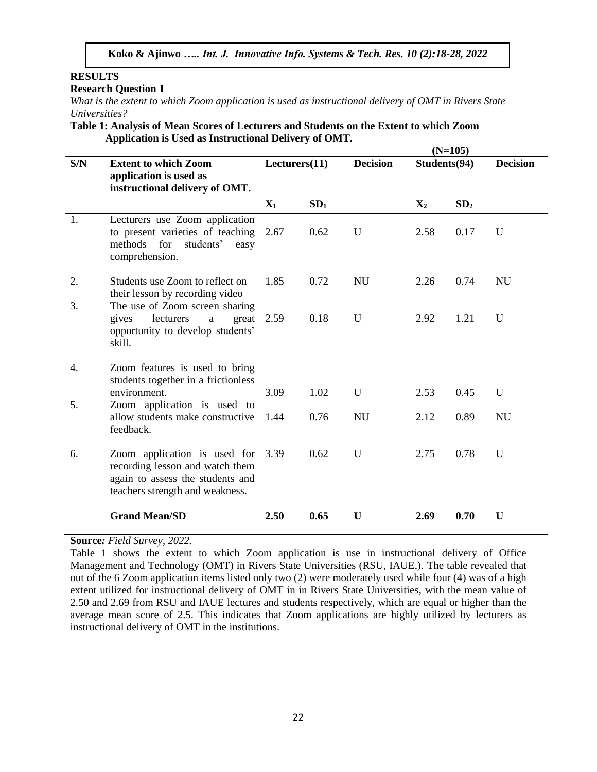# **RESULTS**

**Research Question 1**

*What is the extent to which Zoom application is used as instructional delivery of OMT in Rivers State Universities?*

**Table 1: Analysis of Mean Scores of Lecturers and Students on the Extent to which Zoom Application is Used as Instructional Delivery of OMT.**

|     |                                                                                                                                             | $(N=105)$      |                 |                 |                |                 |                 |  |  |
|-----|---------------------------------------------------------------------------------------------------------------------------------------------|----------------|-----------------|-----------------|----------------|-----------------|-----------------|--|--|
| S/N | <b>Extent to which Zoom</b><br>application is used as<br>instructional delivery of OMT.                                                     | Lectors(11)    |                 | <b>Decision</b> | Students(94)   |                 | <b>Decision</b> |  |  |
|     |                                                                                                                                             | $\mathbf{X}_1$ | SD <sub>1</sub> |                 | $\mathbf{X}_2$ | SD <sub>2</sub> |                 |  |  |
| 1.  | Lecturers use Zoom application<br>to present varieties of teaching<br>methods for<br>students'<br>easy<br>comprehension.                    | 2.67           | 0.62            | U               | 2.58           | 0.17            | U               |  |  |
| 2.  | Students use Zoom to reflect on<br>their lesson by recording video                                                                          | 1.85           | 0.72            | <b>NU</b>       | 2.26           | 0.74            | <b>NU</b>       |  |  |
| 3.  | The use of Zoom screen sharing<br>lecturers<br>great<br>gives<br>$\mathbf{a}$<br>opportunity to develop students'<br>skill.                 | 2.59           | 0.18            | U               | 2.92           | 1.21            | U               |  |  |
| 4.  | Zoom features is used to bring<br>students together in a frictionless                                                                       |                |                 |                 |                |                 |                 |  |  |
|     | environment.                                                                                                                                | 3.09           | 1.02            | U               | 2.53           | 0.45            | U               |  |  |
| 5.  | Zoom application is used to<br>allow students make constructive<br>feedback.                                                                | 1.44           | 0.76            | <b>NU</b>       | 2.12           | 0.89            | <b>NU</b>       |  |  |
| 6.  | Zoom application is used for 3.39<br>recording lesson and watch them<br>again to assess the students and<br>teachers strength and weakness. |                | 0.62            | U               | 2.75           | 0.78            | U               |  |  |
|     | <b>Grand Mean/SD</b>                                                                                                                        | 2.50           | 0.65            | U               | 2.69           | 0.70            | U               |  |  |

**Source***: Field Survey, 2022.*

Table 1 shows the extent to which Zoom application is use in instructional delivery of Office Management and Technology (OMT) in Rivers State Universities (RSU, IAUE,). The table revealed that out of the 6 Zoom application items listed only two (2) were moderately used while four (4) was of a high extent utilized for instructional delivery of OMT in in Rivers State Universities, with the mean value of 2.50 and 2.69 from RSU and IAUE lectures and students respectively, which are equal or higher than the average mean score of 2.5. This indicates that Zoom applications are highly utilized by lecturers as instructional delivery of OMT in the institutions.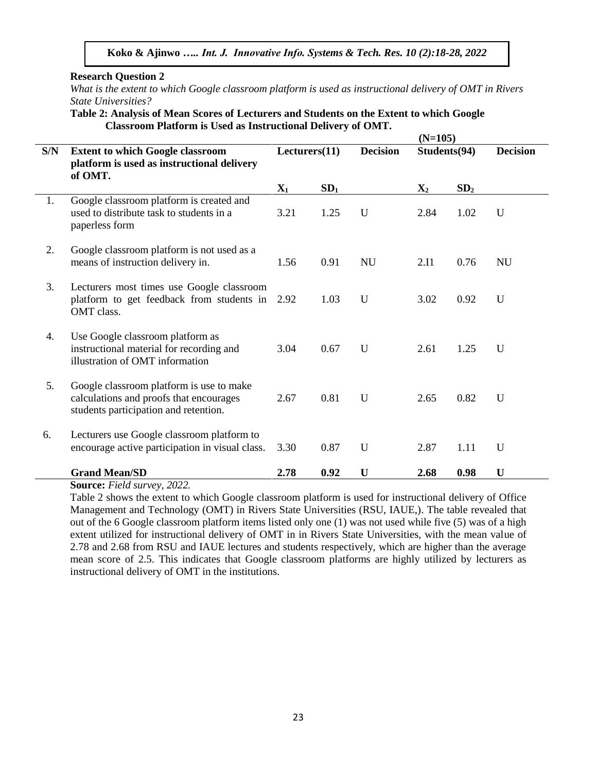**Research Question 2** 

*What is the extent to which Google classroom platform is used as instructional delivery of OMT in Rivers State Universities?*

**Table 2: Analysis of Mean Scores of Lecturers and Students on the Extent to which Google Classroom Platform is Used as Instructional Delivery of OMT.**

|     |                                                                                                                              |                |                 |                 | $(N=105)$      |                 |                 |
|-----|------------------------------------------------------------------------------------------------------------------------------|----------------|-----------------|-----------------|----------------|-----------------|-----------------|
| S/N | <b>Extent to which Google classroom</b><br>platform is used as instructional delivery<br>of OMT.                             | Lectors(11)    |                 | <b>Decision</b> | Students(94)   |                 | <b>Decision</b> |
|     |                                                                                                                              | $\mathbf{X}_1$ | SD <sub>1</sub> |                 | $\mathbf{X}_2$ | SD <sub>2</sub> |                 |
| 1.  | Google classroom platform is created and<br>used to distribute task to students in a<br>paperless form                       | 3.21           | 1.25            | U               | 2.84           | 1.02            | $\mathbf U$     |
| 2.  | Google classroom platform is not used as a<br>means of instruction delivery in.                                              | 1.56           | 0.91            | <b>NU</b>       | 2.I1           | 0.76            | <b>NU</b>       |
| 3.  | Lecturers most times use Google classroom<br>platform to get feedback from students in<br>OMT class.                         | 2.92           | 1.03            | U               | 3.02           | 0.92            | $\mathbf U$     |
| 4.  | Use Google classroom platform as<br>instructional material for recording and<br>illustration of OMT information              | 3.04           | 0.67            | U               | 2.61           | 1.25            | $\mathbf U$     |
| 5.  | Google classroom platform is use to make<br>calculations and proofs that encourages<br>students participation and retention. | 2.67           | 0.81            | U               | 2.65           | 0.82            | U               |
| 6.  | Lecturers use Google classroom platform to<br>encourage active participation in visual class.                                | 3.30           | 0.87            | $\mathbf U$     | 2.87           | 1.11            | U               |
|     | <b>Grand Mean/SD</b>                                                                                                         | 2.78           | 0.92            | U               | 2.68           | 0.98            | U               |

**Source:** *Field survey, 2022.*

Table 2 shows the extent to which Google classroom platform is used for instructional delivery of Office Management and Technology (OMT) in Rivers State Universities (RSU, IAUE,). The table revealed that out of the 6 Google classroom platform items listed only one (1) was not used while five (5) was of a high extent utilized for instructional delivery of OMT in in Rivers State Universities, with the mean value of 2.78 and 2.68 from RSU and IAUE lectures and students respectively, which are higher than the average mean score of 2.5. This indicates that Google classroom platforms are highly utilized by lecturers as instructional delivery of OMT in the institutions.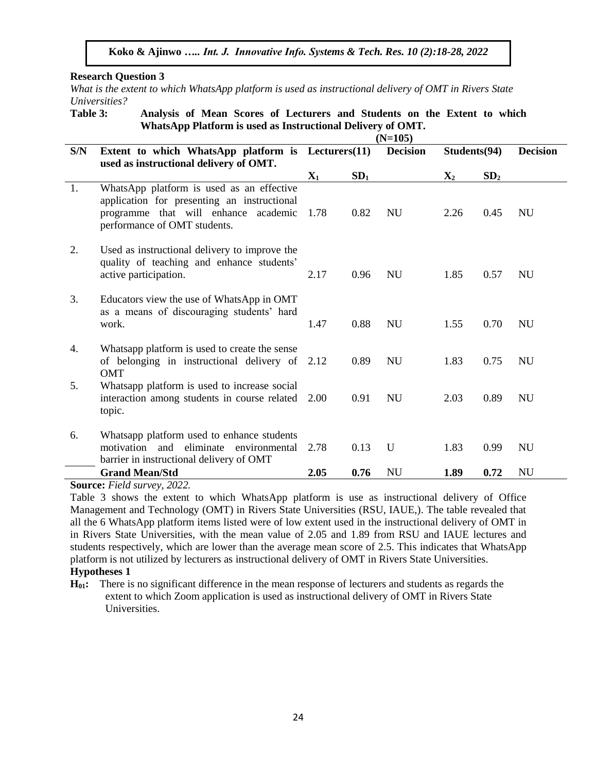**Research Question 3**

*What is the extent to which WhatsApp platform is used as instructional delivery of OMT in Rivers State Universities?*

**Table 3: Analysis of Mean Scores of Lecturers and Students on the Extent to which WhatsApp Platform is used as Instructional Delivery of OMT.**

|     |                                                                                                                                                                  | $(N=105)$      |                 |                 |                |                 |                 |  |  |
|-----|------------------------------------------------------------------------------------------------------------------------------------------------------------------|----------------|-----------------|-----------------|----------------|-----------------|-----------------|--|--|
| S/N | Extent to which WhatsApp platform is Lecturers(11)<br>used as instructional delivery of OMT.                                                                     |                |                 | <b>Decision</b> | Students(94)   |                 | <b>Decision</b> |  |  |
|     |                                                                                                                                                                  | $\mathbf{X}_1$ | SD <sub>1</sub> |                 | $\mathbf{X}_2$ | SD <sub>2</sub> |                 |  |  |
| 1.  | WhatsApp platform is used as an effective<br>application for presenting an instructional<br>programme that will enhance academic<br>performance of OMT students. | 1.78           | 0.82            | <b>NU</b>       | 2.26           | 0.45            | <b>NU</b>       |  |  |
| 2.  | Used as instructional delivery to improve the<br>quality of teaching and enhance students'<br>active participation.                                              | 2.17           | 0.96            | <b>NU</b>       | 1.85           | 0.57            | <b>NU</b>       |  |  |
| 3.  | Educators view the use of WhatsApp in OMT<br>as a means of discouraging students' hard<br>work.                                                                  | 1.47           | 0.88            | <b>NU</b>       | 1.55           | 0.70            | <b>NU</b>       |  |  |
| 4.  | Whatsapp platform is used to create the sense<br>of belonging in instructional delivery of 2.12<br><b>OMT</b>                                                    |                | 0.89            | <b>NU</b>       | 1.83           | 0.75            | <b>NU</b>       |  |  |
| 5.  | Whatsapp platform is used to increase social<br>interaction among students in course related<br>topic.                                                           | 2.00           | 0.91            | <b>NU</b>       | 2.03           | 0.89            | <b>NU</b>       |  |  |
| 6.  | Whatsapp platform used to enhance students<br>motivation and eliminate<br>environmental<br>barrier in instructional delivery of OMT                              | 2.78           | 0.13            | U               | 1.83           | 0.99            | <b>NU</b>       |  |  |
|     | <b>Grand Mean/Std</b>                                                                                                                                            | 2.05           | 0.76            | <b>NU</b>       | 1.89           | 0.72            | <b>NU</b>       |  |  |

**Source:** *Field survey, 2022.*

Table 3 shows the extent to which WhatsApp platform is use as instructional delivery of Office Management and Technology (OMT) in Rivers State Universities (RSU, IAUE,). The table revealed that all the 6 WhatsApp platform items listed were of low extent used in the instructional delivery of OMT in in Rivers State Universities, with the mean value of 2.05 and 1.89 from RSU and IAUE lectures and students respectively, which are lower than the average mean score of 2.5. This indicates that WhatsApp platform is not utilized by lecturers as instructional delivery of OMT in Rivers State Universities.

# **Hypotheses 1**

**H01:** There is no significant difference in the mean response of lecturers and students as regards the extent to which Zoom application is used as instructional delivery of OMT in Rivers State **Universities**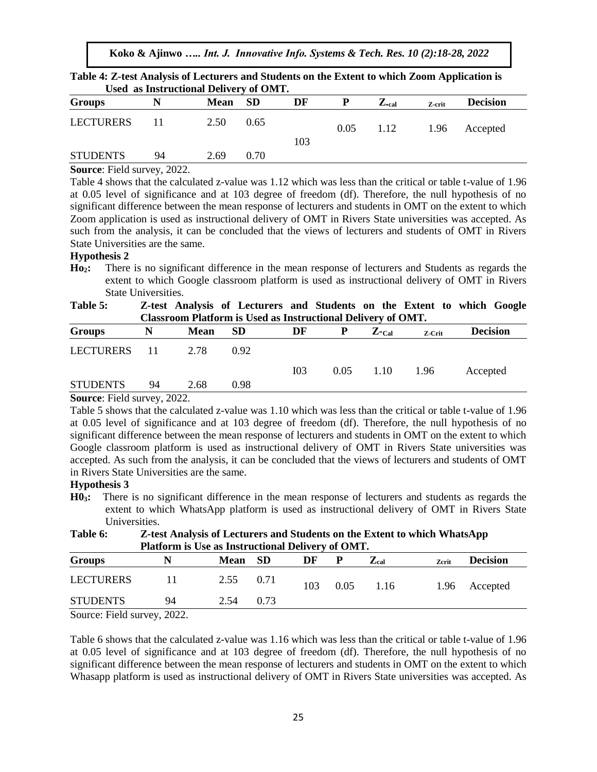|                  |    | Used as Instructional Delivery of OMT. |      |     |      |                  |        |                 |  |
|------------------|----|----------------------------------------|------|-----|------|------------------|--------|-----------------|--|
| <b>Groups</b>    | N  | Mean SD                                |      | DF  |      | $Z_{\text{val}}$ | Z-crit | <b>Decision</b> |  |
| <b>LECTURERS</b> | 11 | 2.50                                   | 0.65 | 103 | 0.05 | 1.12             | 1.96   | Accepted        |  |
| <b>STUDENTS</b>  | 94 | 2.69                                   | 0.70 |     |      |                  |        |                 |  |

**Table 4: Z-test Analysis of Lecturers and Students on the Extent to which Zoom Application is** 

#### **Source**: Field survey, 2022.

Table 4 shows that the calculated z-value was 1.12 which was less than the critical or table t-value of 1.96 at 0.05 level of significance and at 103 degree of freedom (df). Therefore, the null hypothesis of no significant difference between the mean response of lecturers and students in OMT on the extent to which Zoom application is used as instructional delivery of OMT in Rivers State universities was accepted. As such from the analysis, it can be concluded that the views of lecturers and students of OMT in Rivers State Universities are the same.

#### **Hypothesis 2**

**Ho2:** There is no significant difference in the mean response of lecturers and Students as regards the extent to which Google classroom platform is used as instructional delivery of OMT in Rivers State Universities.

**Table 5: Z-test Analysis of Lecturers and Students on the Extent to which Google Classroom Platform is Used as Instructional Delivery of OMT.**

| <b>Groups</b>   |    | <b>Mean</b> | <b>SD</b> | DF              | P    | $Z$ -Cal | Z-Crit | <b>Decision</b> |
|-----------------|----|-------------|-----------|-----------------|------|----------|--------|-----------------|
| LECTURERS       |    | 2.78        | 0.92      |                 |      |          |        |                 |
|                 |    |             |           | I <sub>03</sub> | 0.05 | 1.10     | 1.96   | Accepted        |
| <b>STUDENTS</b> | 94 | 2.68        | 0.98      |                 |      |          |        |                 |

#### **Source**: Field survey, 2022.

Table 5 shows that the calculated z-value was 1.10 which was less than the critical or table t-value of 1.96 at 0.05 level of significance and at 103 degree of freedom (df). Therefore, the null hypothesis of no significant difference between the mean response of lecturers and students in OMT on the extent to which Google classroom platform is used as instructional delivery of OMT in Rivers State universities was accepted. As such from the analysis, it can be concluded that the views of lecturers and students of OMT in Rivers State Universities are the same.

# **Hypothesis 3**

**H03:** There is no significant difference in the mean response of lecturers and students as regards the extent to which WhatsApp platform is used as instructional delivery of OMT in Rivers State Universities.

**Table 6: Z-test Analysis of Lecturers and Students on the Extent to which WhatsApp Platform is Use as Instructional Delivery of OMT.**

| <b>Groups</b>         | N  | <b>Mean</b> | <b>SD</b> | DF  | Р    | $\mathbf{Z}_{\text{cal}}$ | Zcrit | <b>Decision</b> |  |
|-----------------------|----|-------------|-----------|-----|------|---------------------------|-------|-----------------|--|
| <b>LECTURERS</b>      |    | 2.55        | 0.71      | 103 | 0.05 | 1.16                      |       | 1.96 Accepted   |  |
| <b>STUDENTS</b>       | 94 | 2.54        | 0.73      |     |      |                           |       |                 |  |
| $0.0000$ $E: 11.0000$ |    |             |           |     |      |                           |       |                 |  |

Source: Field survey, 2022.

Table 6 shows that the calculated z-value was 1.16 which was less than the critical or table t-value of 1.96 at 0.05 level of significance and at 103 degree of freedom (df). Therefore, the null hypothesis of no significant difference between the mean response of lecturers and students in OMT on the extent to which Whasapp platform is used as instructional delivery of OMT in Rivers State universities was accepted. As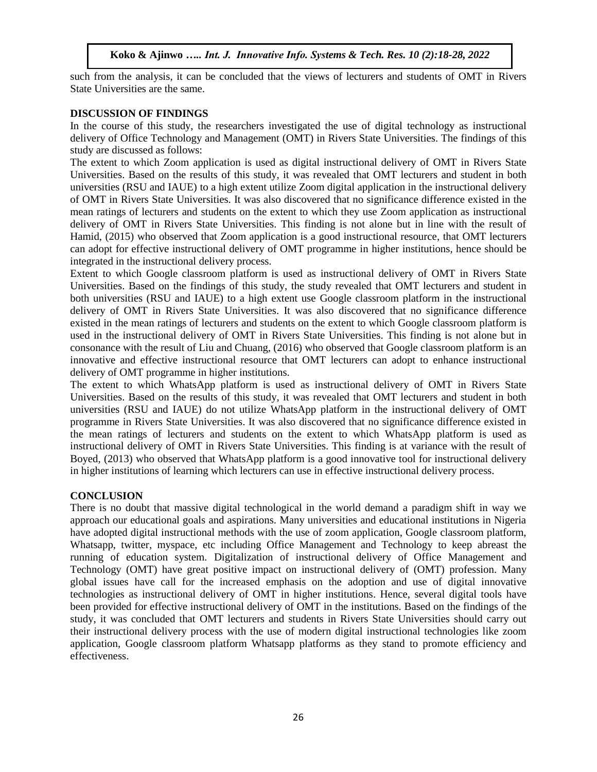such from the analysis, it can be concluded that the views of lecturers and students of OMT in Rivers State Universities are the same.

#### **DISCUSSION OF FINDINGS**

In the course of this study, the researchers investigated the use of digital technology as instructional delivery of Office Technology and Management (OMT) in Rivers State Universities. The findings of this study are discussed as follows:

The extent to which Zoom application is used as digital instructional delivery of OMT in Rivers State Universities. Based on the results of this study, it was revealed that OMT lecturers and student in both universities (RSU and IAUE) to a high extent utilize Zoom digital application in the instructional delivery of OMT in Rivers State Universities. It was also discovered that no significance difference existed in the mean ratings of lecturers and students on the extent to which they use Zoom application as instructional delivery of OMT in Rivers State Universities. This finding is not alone but in line with the result of Hamid, (2015) who observed that Zoom application is a good instructional resource, that OMT lecturers can adopt for effective instructional delivery of OMT programme in higher institutions, hence should be integrated in the instructional delivery process.

Extent to which Google classroom platform is used as instructional delivery of OMT in Rivers State Universities. Based on the findings of this study, the study revealed that OMT lecturers and student in both universities (RSU and IAUE) to a high extent use Google classroom platform in the instructional delivery of OMT in Rivers State Universities. It was also discovered that no significance difference existed in the mean ratings of lecturers and students on the extent to which Google classroom platform is used in the instructional delivery of OMT in Rivers State Universities. This finding is not alone but in consonance with the result of Liu and Chuang, (2016) who observed that Google classroom platform is an innovative and effective instructional resource that OMT lecturers can adopt to enhance instructional delivery of OMT programme in higher institutions.

The extent to which WhatsApp platform is used as instructional delivery of OMT in Rivers State Universities. Based on the results of this study, it was revealed that OMT lecturers and student in both universities (RSU and IAUE) do not utilize WhatsApp platform in the instructional delivery of OMT programme in Rivers State Universities. It was also discovered that no significance difference existed in the mean ratings of lecturers and students on the extent to which WhatsApp platform is used as instructional delivery of OMT in Rivers State Universities. This finding is at variance with the result of Boyed, (2013) who observed that WhatsApp platform is a good innovative tool for instructional delivery in higher institutions of learning which lecturers can use in effective instructional delivery process.

# **CONCLUSION**

There is no doubt that massive digital technological in the world demand a paradigm shift in way we approach our educational goals and aspirations. Many universities and educational institutions in Nigeria have adopted digital instructional methods with the use of zoom application, Google classroom platform, Whatsapp, twitter, myspace, etc including Office Management and Technology to keep abreast the running of education system. Digitalization of instructional delivery of Office Management and Technology (OMT) have great positive impact on instructional delivery of (OMT) profession. Many global issues have call for the increased emphasis on the adoption and use of digital innovative technologies as instructional delivery of OMT in higher institutions. Hence, several digital tools have been provided for effective instructional delivery of OMT in the institutions. Based on the findings of the study, it was concluded that OMT lecturers and students in Rivers State Universities should carry out their instructional delivery process with the use of modern digital instructional technologies like zoom application, Google classroom platform Whatsapp platforms as they stand to promote efficiency and effectiveness.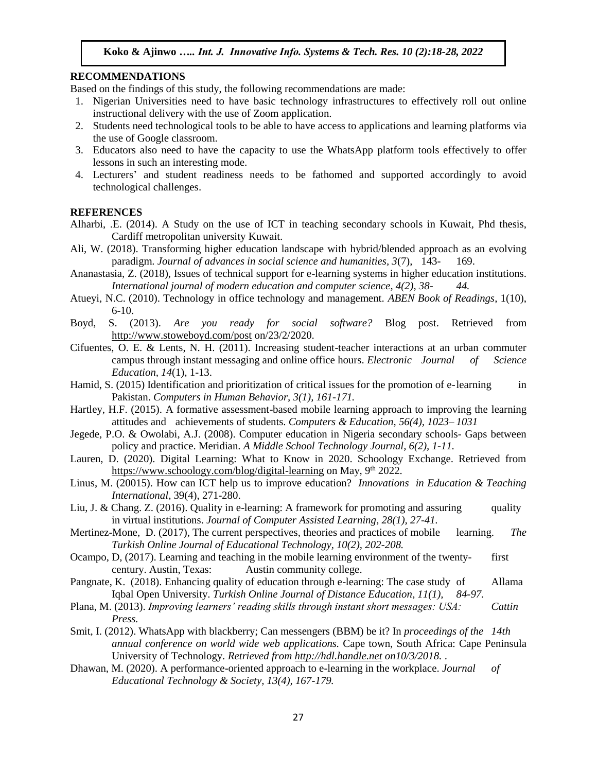#### **RECOMMENDATIONS**

Based on the findings of this study, the following recommendations are made:

- 1. Nigerian Universities need to have basic technology infrastructures to effectively roll out online instructional delivery with the use of Zoom application.
- 2. Students need technological tools to be able to have access to applications and learning platforms via the use of Google classroom.
- 3. Educators also need to have the capacity to use the WhatsApp platform tools effectively to offer lessons in such an interesting mode.
- 4. Lecturers' and student readiness needs to be fathomed and supported accordingly to avoid technological challenges.

#### **REFERENCES**

- Alharbi, .E. (2014). A Study on the use of ICT in teaching secondary schools in Kuwait, Phd thesis, Cardiff metropolitan university Kuwait.
- Ali, W. (2018). Transforming higher education landscape with hybrid/blended approach as an evolving paradigm. *Journal of advances in social science and humanities, 3*(7), 143- 169.
- Ananastasia, Z. (2018), Issues of technical support for e-learning systems in higher education institutions. *International journal of modern education and computer science, 4(2), 38- 44.*
- Atueyi, N.C. (2010). Technology in office technology and management. *ABEN Book of Readings*, 1(10), 6-10.
- Boyd, S. (2013). *Are you ready for social software?* Blog post. Retrieved from <http://www.stoweboyd.com/post> on/23/2/2020.
- Cifuentes, O. E. & Lents, N. H. (2011). Increasing student-teacher interactions at an urban commuter campus through instant messaging and online office hours. *Electronic Journal of Science Education, 14*(1), 1-13.
- Hamid, S. (2015) Identification and prioritization of critical issues for the promotion of e-learning in Pakistan. *Computers in Human Behavior, 3(1), 161-171.*
- Hartley, H.F. (2015). A formative assessment-based mobile learning approach to improving the learning attitudes and achievements of students. *Computers & Education, 56(4), 1023– 1031*
- Jegede, P.O. & Owolabi, A.J. (2008). Computer education in Nigeria secondary schools- Gaps between policy and practice. Meridian. *A Middle School Technology Journal, 6(2), 1-11.*
- Lauren, D. (2020). Digital Learning: What to Know in 2020. Schoology Exchange. Retrieved from <https://www.schoology.com/blog/digital-learning> on May, 9<sup>th</sup> 2022.
- Linus, M. (20015). How can ICT help us to improve education? *Innovations in Education & Teaching International*, 39(4), 271-280.
- Liu, J. & Chang. Z. (2016). Quality in e-learning: A framework for promoting and assuring quality in virtual institutions. *Journal of Computer Assisted Learning, 28(1), 27-41.*

Mertinez-Mone, D. (2017), The current perspectives, theories and practices of mobile learning. *The Turkish Online Journal of Educational Technology, 10(2), 202-208.*

- Ocampo, D, (2017). Learning and teaching in the mobile learning environment of the twenty- first century. Austin, Texas: Austin community college.
- Pangnate, K. (2018). Enhancing quality of education through e-learning: The case study of Allama Iqbal Open University. *Turkish Online Journal of Distance Education, 11(1), 84-97.*
- Plana, M. (2013). *Improving learners' reading skills through instant short messages: USA: Cattin Press.*
- Smit, I. (2012). WhatsApp with blackberry; Can messengers (BBM) be it? In *proceedings of the 14th annual conference on world wide web applications.* Cape town, South Africa: Cape Peninsula University of Technology. *Retrieved from [http://hdl.handle.net](http://hdl.handle.net/) on10/3/2018.* .
- Dhawan, M. (2020). A performance-oriented approach to e-learning in the workplace. *Journal of Educational Technology & Society, 13(4), 167-179.*